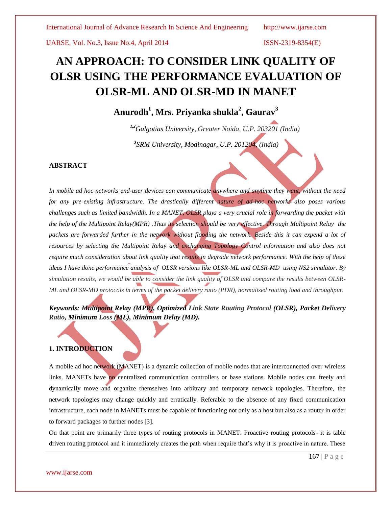# **AN APPROACH: TO CONSIDER LINK QUALITY OF OLSR USING THE PERFORMANCE EVALUATION OF OLSR-ML AND OLSR-MD IN MANET**

# **Anurodh<sup>1</sup> , Mrs. Priyanka shukla<sup>2</sup> , Gaurav<sup>3</sup>**

*1,2Galgotias University, Greater Noida, U.P. 203201 (India)*

 *3 SRM University, Modinagar, U.P. 201204, (India)*

### **ABSTRACT**

*In mobile ad hoc networks end-user devices can communicate anywhere and anytime they want, without the need for any pre-existing infrastructure. The drastically different nature of ad-hoc networks also poses various challenges such as limited bandwidth. In a MANET, OLSR plays a very crucial role in forwarding the packet with the help of the Multipoint Relay(MPR) .Thus its selection should be very effective. Through Multipoint Relay the*  packets are forwarded further in the network without flooding the network. Beside this it can expend a lot of *resources by selecting the Multipoint Relay and exchanging Topology Control information and also does not require much consideration about link quality that results in degrade network performance. With the help of these ideas I have done performance analysis of OLSR versions like OLSR-ML and OLSR-MD using NS2 simulator. By simulation results, we would be able to consider the link quality of OLSR and compare the results between OLSR-ML and OLSR-MD protocols in terms of the packet delivery ratio (PDR), normalized routing load and throughput.*

# *Keywords: Multipoint Relay (MPR), Optimized Link State Routing Protocol (OLSR), Packet Delivery Ratio, Minimum Loss (ML), Minimum Delay (MD).*

# **1. INTRODUCTION**

A mobile ad hoc network (MANET) is a dynamic collection of mobile nodes that are interconnected over wireless links. MANETs have no centralized communication controllers or base stations. Mobile nodes can freely and dynamically move and organize themselves into arbitrary and temporary network topologies. Therefore, the network topologies may change quickly and erratically. Referable to the absence of any fixed communication infrastructure, each node in MANETs must be capable of functioning not only as a host but also as a router in order to forward packages to further nodes [3].

On that point are primarily three types of routing protocols in MANET. Proactive routing protocols- it is table driven routing protocol and it immediately creates the path when require that's why it is proactive in nature. These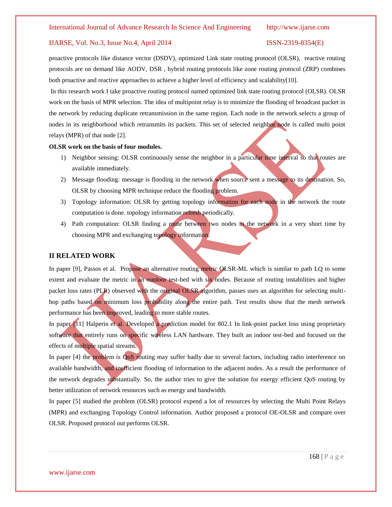proactive protocols like distance vector (DSDV), optimized Link state routing protocol (OLSR), reactive routing protocols are on demand like AODV, DSR , hybrid routing protocols like zone routing protocol (ZRP) combines both proactive and reactive approaches to achieve a higher level of efficiency and scalability[10].

In this research work I take proactive routing protocol named optimized link state routing protocol (OLSR). OLSR work on the basis of MPR selection. The idea of multipoint relay is to minimize the flooding of broadcast packet in the network by reducing duplicate retransmission in the same region. Each node in the network selects a group of nodes in its neighborhood which retransmits its packets. This set of selected neighbor node is called multi point relays (MPR) of that node [2].

#### **OLSR work on the basis of four modules.**

- 1) Neighbor sensing: OLSR continuously sense the neighbor in a particular time interval so that routes are available immediately.
- 2) Message flooding: message is flooding in the network when source sent a message to its destination. So, OLSR by choosing MPR technique reduce the flooding problem.
- 3) Topology information: OLSR by getting topology information for each node in the network the route computation is done. topology information refresh periodically.
- 4) Path computation: OLSR finding a route between two nodes in the network in a very short time by choosing MPR and exchanging topology information.

#### **II RELATED WORK**

In paper [9], Passos et al. Propose an alternative routing metric OLSR-ML which is similar to path LQ to some extent and evaluate the metric in an outdoor test-bed with six nodes. Because of routing instabilities and higher packet loss rates (PLR) observed with the original OLSR algorithm, passes uses an algorithm for selecting multihop paths based on minimum loss probability along the entire path. Test results show that the mesh network performance has been improved, leading to more stable routes.

In paper [11] Halperin et al. Developed a prediction model for 802.1 In link-point packet loss using proprietary software that entirely runs on specific wireless LAN hardware. They built an indoor test-bed and focused on the effects of multiple spatial streams.

In paper [4] the problem is QoS routing may suffer badly due to several factors, including radio interference on available bandwidth, and inefficient flooding of information to the adjacent nodes. As a result the performance of the network degrades substantially. So, the author tries to give the solution for energy efficient QoS routing by better utilization of network resources such as energy and bandwidth.

In paper [5] studied the problem (OLSR) protocol expend a lot of resources by selecting the Multi Point Relays (MPR) and exchanging Topology Control information. Author proposed a protocol OE-OLSR and compare over OLSR. Proposed protocol out performs OLSR.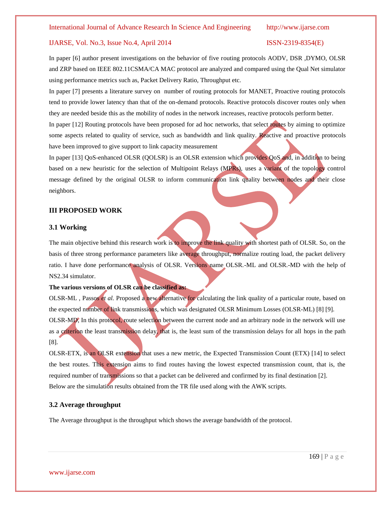In paper [6] author present investigations on the behavior of five routing protocols AODV, DSR ,DYMO, OLSR and ZRP based on IEEE 802.11CSMA/CA MAC protocol are analyzed and compared using the Qual Net simulator using performance metrics such as, Packet Delivery Ratio, Throughput etc.

In paper [7] presents a literature survey on number of routing protocols for MANET, Proactive routing protocols tend to provide lower latency than that of the on-demand protocols. Reactive protocols discover routes only when they are needed beside this as the mobility of nodes in the network increases, reactive protocols perform better.

In paper [12] Routing protocols have been proposed for ad hoc networks, that select routes by aiming to optimize some aspects related to quality of service, such as bandwidth and link quality. Reactive and proactive protocols have been improved to give support to link capacity measurement

In paper [13] QoS-enhanced OLSR (QOLSR) is an OLSR extension which provides QoS and, in addition to being based on a new heuristic for the selection of Multipoint Relays (MPRs), uses a variant of the topology control message defined by the original OLSR to inform communication link quality between nodes and their close neighbors.

#### **III PROPOSED WORK**

### **3.1 Working**

The main objective behind this research work is to improve the link quality with shortest path of OLSR. So, on the basis of three strong performance parameters like average throughput, normalize routing load, the packet delivery ratio. I have done performance analysis of OLSR. Versions name OLSR.-ML and OLSR.-MD with the help of NS2.34 simulator.

#### **The various versions of OLSR can be classified as:**

OLSR-ML , Passos *et al.* Proposed a new alternative for calculating the link quality of a particular route, based on the expected number of link transmissions, which was designated OLSR Minimum Losses (OLSR-ML) [8] [9]. OLSR-MD, In this protocol, route selection between the current node and an arbitrary node in the network will use as a criterion the least transmission delay, that is, the least sum of the transmission delays for all hops in the path [8].

OLSR-ETX, is an OLSR extension that uses a new metric, the Expected Transmission Count (ETX) [14] to select the best routes. This extension aims to find routes having the lowest expected transmission count, that is, the required number of transmissions so that a packet can be delivered and confirmed by its final destination [2]. Below are the simulation results obtained from the TR file used along with the AWK scripts.

#### **3.2 Average throughput**

The Average throughput is the throughput which shows the average bandwidth of the protocol.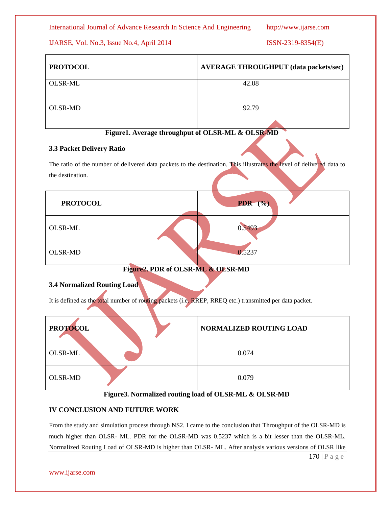International Journal of Advance Research In Science And Engineering http://www.ijarse.com

IJARSE, Vol. No.3, Issue No.4, April 2014 ISSN-2319-8354(E)

| <b>PROTOCOL</b> | <b>AVERAGE THROUGHPUT (data packets/sec)</b> |
|-----------------|----------------------------------------------|
| OLSR-ML         | 42.08                                        |
| <b>OLSR-MD</b>  | 92.79                                        |



### **3.3 Packet Delivery Ratio**

The ratio of the number of delivered data packets to the destination. This illustrates the level of delivered data to the destination.

| <b>PROTOCOL</b> | PDR (%) |  |
|-----------------|---------|--|
| <b>OLSR-ML</b>  | 0.5493  |  |
| OLSR-MD         | 0.5237  |  |

## **Figure2. PDR of OLSR-ML & OLSR-MD**

### **3.4 Normalized Routing Load**

It is defined as the total number of routing packets (i.e. RREP, RREQ etc.) transmitted per data packet.

| <b>PROTOCOL</b> | NORMALIZED ROUTING LOAD |
|-----------------|-------------------------|
| OLSR-ML         | 0.074                   |
| <b>OLSR-MD</b>  | 0.079                   |

### **Figure3. Normalized routing load of OLSR-ML & OLSR-MD**

### **IV CONCLUSION AND FUTURE WORK**

From the study and simulation process through NS2. I came to the conclusion that Throughput of the OLSR-MD is much higher than OLSR- ML. PDR for the OLSR-MD was 0.5237 which is a bit lesser than the OLSR-ML. Normalized Routing Load of OLSR-MD is higher than OLSR- ML. After analysis various versions of OLSR like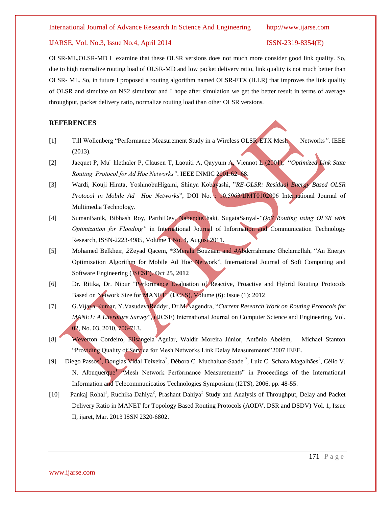OLSR-ML,OLSR-MD I examine that these OLSR versions does not much more consider good link quality. So, due to high normalize routing load of OLSR-MD and low packet delivery ratio, link quality is not much better than OLSR- ML. So, in future I proposed a routing algorithm named OLSR-ETX (ILLR) that improves the link quality of OLSR and simulate on NS2 simulator and I hope after simulation we get the better result in terms of average throughput, packet delivery ratio, normalize routing load than other OLSR versions.

#### **REFERENCES**

- [1] Till Wollenberg "Performance Measurement Study in a Wireless OLSR-ETX Mesh Networks*"*. IEEE (2013).
- [2] Jacquet P, Mu¨ hlethaler P, Clausen T, Laouiti A, Qayyum A, Viennot L (2001), "*Optimized Link State Routing Protocol for Ad Hoc Networks"*. IEEE INMIC 2001:62–68.
- [3] Wardi, Kouji Hirata, YoshinobuHigami, Shinya Kobayashi, "*RE-OLSR: Residual Energy Based OLSR Protocol in Mobile Ad Hoc Networks*", DOI No. : 10.5963/IJMT0102006 International Journal of Multimedia Technology.
- [4] SumanBanik, Bibhash Roy, ParthiDey, NabenduChaki, SugataSanyal*-"QoS Routing using OLSR with Optimization for Flooding"* in International Journal of Information and Communication Technology Research, ISSN-2223-4985, Volume 1 No. 4, August 2011.
- [5] Mohamed Belkheir, *2*Zeyad Qacem, \**3*Merahi Bouziani and *4*Abderrahmane Ghelamellah, "An Energy Optimization Algorithm for Mobile Ad Hoc Network", International Journal of Soft Computing and Software Engineering (JSCSE). **Oct 25, 2012**
- [6] Dr. Ritika, Dr. Nipur "Performance Evaluation of Reactive, Proactive and Hybrid Routing Protocols Based on Network Size for MANET" (IJCSS), Volume (6): Issue (1): 2012
- [7] G.Vijaya Kumar, Y.VasudevaReddyr, Dr.M.Nagendra, "*Current Research Work on Routing Protocols for MANET: A Literature Survey*", (IJCSE) International Journal on Computer Science and Engineering, Vol. 02, No. 03, 2010, 706-713.
- [8] Weverton Cordeiro, Elisangela Aguiar, Waldir Moreira Júnior, Antônio Abelém, Michael Stanton "Providing Quality of Service for Mesh Networks Link Delay Measurements"2007 IEEE.
- [9] Diego Passos<sup>1</sup>, Douglas Vidal Teixeira<sup>2</sup>, Débora C. Muchaluat-Saade<sup>2</sup>, Luiz C. Schara Magalhães<sup>2</sup>, Célio V. N. Albuquerque<sup>1</sup> Mesh Network Performance Measurements" in Proceedings of the International Information and Telecommunicatios Technologies Symposium (I2TS), 2006, pp. 48-55.
- [10] Pankaj Rohal<sup>1</sup>, Ruchika Dahiya<sup>2</sup>, Prashant Dahiya<sup>3</sup> Study and Analysis of Throughput, Delay and Packet Delivery Ratio in MANET for Topology Based Routing Protocols (AODV, DSR and DSDV) Vol. 1, Issue II, ijaret, Mar. 2013 ISSN 2320-6802.